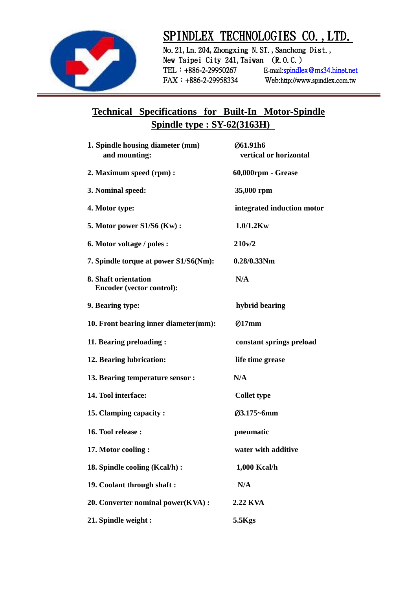

## SPINDLEX TECHNOLOGIES CO., LTD.

No. 21, Ln. 204, Zhongxing N.ST., Sanchong Dist., New Taipei City 241, Taiwan (R.O.C.) TEL: +886-2-29950267 E-mail:spindlex@ms34.hinet.net FAX:+886-2-29958334 Web:http://www.spindlex.com.tw

## **Technical Specifications for Built-In Motor-Spindle Spindle type : SY-62(3163H)**

| 1. Spindle housing diameter (mm)<br>and mounting:        | Ø61.91h6<br>vertical or horizontal |
|----------------------------------------------------------|------------------------------------|
| 2. Maximum speed (rpm):                                  | 60,000rpm - Grease                 |
| 3. Nominal speed:                                        | 35,000 rpm                         |
| 4. Motor type:                                           | integrated induction motor         |
| 5. Motor power S1/S6 (Kw):                               | $1.0/1.2$ Kw                       |
| 6. Motor voltage / poles :                               | 210v/2                             |
| 7. Spindle torque at power S1/S6(Nm):                    | $0.28/0.33$ Nm                     |
| 8. Shaft orientation<br><b>Encoder (vector control):</b> | N/A                                |
| 9. Bearing type:                                         | hybrid bearing                     |
| 10. Front bearing inner diameter(mm):                    | Ø17mm                              |
| 11. Bearing preloading:                                  | constant springs preload           |
| 12. Bearing lubrication:                                 | life time grease                   |
| 13. Bearing temperature sensor :                         | N/A                                |
| 14. Tool interface:                                      | <b>Collet type</b>                 |
| 15. Clamping capacity:                                   | Ø3.175~6mm                         |
| 16. Tool release:                                        | pneumatic                          |
| 17. Motor cooling:                                       | water with additive                |
| 18. Spindle cooling (Kcal/h) :                           | 1,000 Kcal/h                       |
| 19. Coolant through shaft:                               | N/A                                |
| 20. Converter nominal power(KVA):                        | <b>2.22 KVA</b>                    |
| 21. Spindle weight:                                      | 5.5Kgs                             |